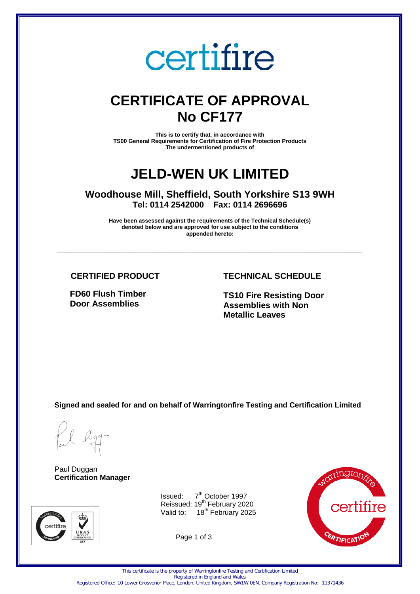# certifire

# **CERTIFICATE OF APPROVAL No CF177**

**This is to certify that, in accordance with TS00 General Requirements for Certification of Fire Protection Products The undermentioned products of** 

# **JELD-WEN UK LIMITED**

**Woodhouse Mill, Sheffield, South Yorkshire S13 9WH Tel: 0114 2542000 Fax: 0114 2696696** 

**Have been assessed against the requirements of the Technical Schedule(s) denoted below and are approved for use subject to the conditions appended hereto:** 

**\_\_\_\_\_\_\_\_\_\_\_\_\_\_\_\_\_\_\_\_\_\_\_\_\_\_\_\_\_\_\_\_\_\_\_\_\_\_\_\_\_\_\_\_\_\_\_\_\_\_\_\_\_\_\_\_\_\_\_\_\_\_\_\_\_\_\_\_\_\_\_\_\_\_\_\_\_\_** 

# **CERTIFIED PRODUCT**

**FD60 Flush Timber Door Assemblies**

# **TECHNICAL SCHEDULE**

**TS10 Fire Resisting Door Assemblies with Non Metallic Leaves**

**Signed and sealed for and on behalf of Warringtonfire Testing and Certification Limited**

Paul Duggan **Certification Manager**



Issued: 7 7<sup>th</sup> October 1997 Reissued: 19<sup>th</sup> February 2020 Valid to: 18<sup>th</sup> February 2025

Page 1 of 3



This certificate is the property of Warringtonfire Testing and Certification Limited

Registered in England and Wales

Registered Office: 10 Lower Grosvenor Place, London, United Kingdom, SW1W 0EN. Company Registration No: 11371436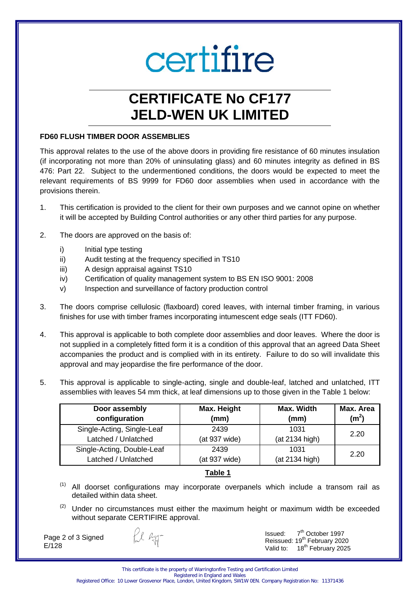# certifire

# **CERTIFICATE No CF177 JELD-WEN UK LIMITED**

## **FD60 FLUSH TIMBER DOOR ASSEMBLIES**

This approval relates to the use of the above doors in providing fire resistance of 60 minutes insulation (if incorporating not more than 20% of uninsulating glass) and 60 minutes integrity as defined in BS 476: Part 22. Subject to the undermentioned conditions, the doors would be expected to meet the relevant requirements of BS 9999 for FD60 door assemblies when used in accordance with the provisions therein.

- 1. This certification is provided to the client for their own purposes and we cannot opine on whether it will be accepted by Building Control authorities or any other third parties for any purpose.
- 2. The doors are approved on the basis of:
	- i) Initial type testing
	- ii) Audit testing at the frequency specified in TS10
	- iii) A design appraisal against TS10
	- iv) Certification of quality management system to BS EN ISO 9001: 2008
	- v) Inspection and surveillance of factory production control
- 3. The doors comprise cellulosic (flaxboard) cored leaves, with internal timber framing, in various finishes for use with timber frames incorporating intumescent edge seals (ITT FD60).
- 4. This approval is applicable to both complete door assemblies and door leaves. Where the door is not supplied in a completely fitted form it is a condition of this approval that an agreed Data Sheet accompanies the product and is complied with in its entirety. Failure to do so will invalidate this approval and may jeopardise the fire performance of the door.
- 5. This approval is applicable to single-acting, single and double-leaf, latched and unlatched, ITT assemblies with leaves 54 mm thick, at leaf dimensions up to those given in the Table 1 below:

| Door assembly              | Max. Height   | Max. Width     | Max. Area         |
|----------------------------|---------------|----------------|-------------------|
| configuration              | (mm)          | (mm)           | (m <sup>2</sup> ) |
| Single-Acting, Single-Leaf | 2439          | 1031           | 2.20              |
| Latched / Unlatched        | (at 937 wide) | (at 2134 high) |                   |
| Single-Acting, Double-Leaf | 2439          | 1031           | 2.20              |
| Latched / Unlatched        | (at 937 wide) | (at 2134 high) |                   |

# **Table 1**

- All doorset configurations may incorporate overpanels which include a transom rail as detailed within data sheet.
- $(2)$  Under no circumstances must either the maximum height or maximum width be exceeded without separate CERTIFIRE approval.

Page 2 of 3 Signed E/128

fil agg-

Issued: 7 7<sup>th</sup> October 1997 Reissued: 19<sup>th</sup> February 2020 Valid to: 18<sup>th</sup> February 2025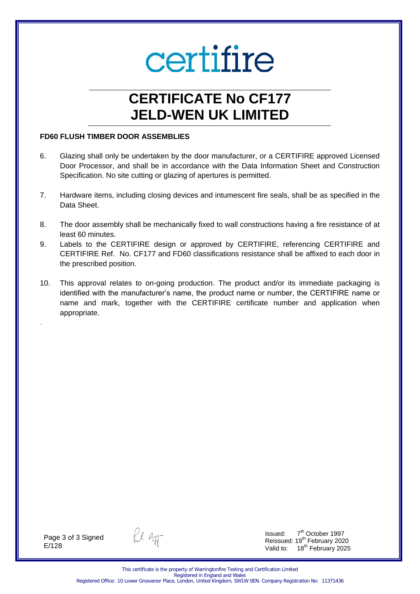# certifire

# **CERTIFICATE No CF177 JELD-WEN UK LIMITED**

### **FD60 FLUSH TIMBER DOOR ASSEMBLIES**

- 6. Glazing shall only be undertaken by the door manufacturer, or a CERTIFIRE approved Licensed Door Processor, and shall be in accordance with the Data Information Sheet and Construction Specification. No site cutting or glazing of apertures is permitted.
- 7. Hardware items, including closing devices and intumescent fire seals, shall be as specified in the Data Sheet.
- 8. The door assembly shall be mechanically fixed to wall constructions having a fire resistance of at least 60 minutes.
- 9. Labels to the CERTIFIRE design or approved by CERTIFIRE, referencing CERTIFIRE and CERTIFIRE Ref. No. CF177 and FD60 classifications resistance shall be affixed to each door in the prescribed position.
- 10. This approval relates to on-going production. The product and/or its immediate packaging is identified with the manufacturer's name, the product name or number, the CERTIFIRE name or name and mark, together with the CERTIFIRE certificate number and application when appropriate.

Page 3 of 3 Signed E/128

.

fil agg-

Issued: 7 7<sup>th</sup> October 1997 Reissued: 19<sup>th</sup> February 2020 Valid to: 18<sup>th</sup> February 2025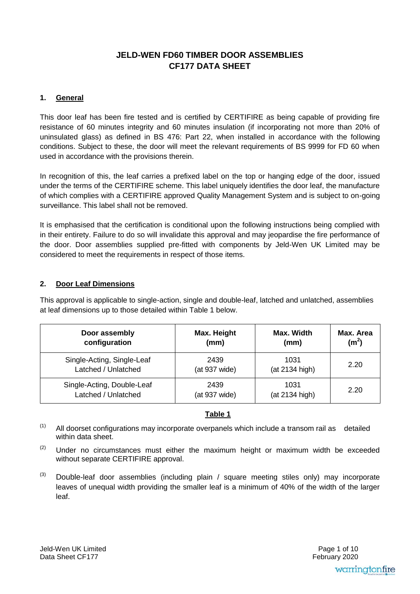# **JELD-WEN FD60 TIMBER DOOR ASSEMBLIES CF177 DATA SHEET**

# **1. General**

This door leaf has been fire tested and is certified by CERTIFIRE as being capable of providing fire resistance of 60 minutes integrity and 60 minutes insulation (if incorporating not more than 20% of uninsulated glass) as defined in BS 476: Part 22, when installed in accordance with the following conditions. Subject to these, the door will meet the relevant requirements of BS 9999 for FD 60 when used in accordance with the provisions therein.

In recognition of this, the leaf carries a prefixed label on the top or hanging edge of the door, issued under the terms of the CERTIFIRE scheme. This label uniquely identifies the door leaf, the manufacture of which complies with a CERTIFIRE approved Quality Management System and is subject to on-going surveillance. This label shall not be removed.

It is emphasised that the certification is conditional upon the following instructions being complied with in their entirety. Failure to do so will invalidate this approval and may jeopardise the fire performance of the door. Door assemblies supplied pre-fitted with components by Jeld-Wen UK Limited may be considered to meet the requirements in respect of those items.

# **2. Door Leaf Dimensions**

This approval is applicable to single-action, single and double-leaf, latched and unlatched, assemblies at leaf dimensions up to those detailed within Table 1 below.

| Door assembly              | Max. Height   | Max. Width     | Max. Area         |
|----------------------------|---------------|----------------|-------------------|
| configuration              | (mm)          | (mm)           | (m <sup>2</sup> ) |
| Single-Acting, Single-Leaf | 2439          | 1031           | 2.20              |
| Latched / Unlatched        | (at 937 wide) | (at 2134 high) |                   |
| Single-Acting, Double-Leaf | 2439          | 1031           | 2.20              |
| Latched / Unlatched        | (at 937 wide) | (at 2134 high) |                   |

# **Table 1**

 $(1)$  All doorset configurations may incorporate overpanels which include a transom rail as detailed within data sheet.

- $(2)$  Under no circumstances must either the maximum height or maximum width be exceeded without separate CERTIFIRE approval.
- $(3)$  Double-leaf door assemblies (including plain / square meeting stiles only) may incorporate leaves of unequal width providing the smaller leaf is a minimum of 40% of the width of the larger leaf.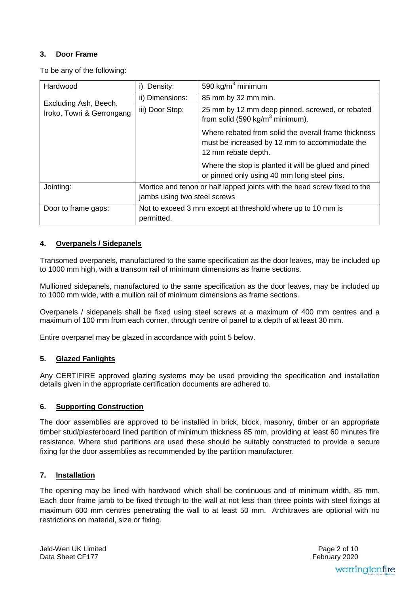# **3. Door Frame**

To be any of the following:

| Hardwood                                           | Density:<br>i)                                                            | 590 kg/ $m3$ minimum                                                                                                         |  |
|----------------------------------------------------|---------------------------------------------------------------------------|------------------------------------------------------------------------------------------------------------------------------|--|
| Excluding Ash, Beech,<br>Iroko, Towri & Gerrongang | ii) Dimensions:                                                           | 85 mm by 32 mm min.                                                                                                          |  |
|                                                    | iii) Door Stop:                                                           | 25 mm by 12 mm deep pinned, screwed, or rebated<br>from solid (590 kg/m <sup>3</sup> minimum).                               |  |
|                                                    |                                                                           | Where rebated from solid the overall frame thickness<br>must be increased by 12 mm to accommodate the<br>12 mm rebate depth. |  |
|                                                    |                                                                           | Where the stop is planted it will be glued and pined<br>or pinned only using 40 mm long steel pins.                          |  |
| Jointing:                                          | Mortice and tenon or half lapped joints with the head screw fixed to the  |                                                                                                                              |  |
|                                                    | jambs using two steel screws                                              |                                                                                                                              |  |
| Door to frame gaps:                                | Not to exceed 3 mm except at threshold where up to 10 mm is<br>permitted. |                                                                                                                              |  |

# **4. Overpanels / Sidepanels**

Transomed overpanels, manufactured to the same specification as the door leaves, may be included up to 1000 mm high, with a transom rail of minimum dimensions as frame sections.

Mullioned sidepanels, manufactured to the same specification as the door leaves, may be included up to 1000 mm wide, with a mullion rail of minimum dimensions as frame sections.

Overpanels / sidepanels shall be fixed using steel screws at a maximum of 400 mm centres and a maximum of 100 mm from each corner, through centre of panel to a depth of at least 30 mm.

Entire overpanel may be glazed in accordance with point 5 below.

# **5. Glazed Fanlights**

Any CERTIFIRE approved glazing systems may be used providing the specification and installation details given in the appropriate certification documents are adhered to.

# **6. Supporting Construction**

The door assemblies are approved to be installed in brick, block, masonry, timber or an appropriate timber stud/plasterboard lined partition of minimum thickness 85 mm, providing at least 60 minutes fire resistance. Where stud partitions are used these should be suitably constructed to provide a secure fixing for the door assemblies as recommended by the partition manufacturer.

#### **7. Installation**

The opening may be lined with hardwood which shall be continuous and of minimum width, 85 mm. Each door frame jamb to be fixed through to the wall at not less than three points with steel fixings at maximum 600 mm centres penetrating the wall to at least 50 mm. Architraves are optional with no restrictions on material, size or fixing.

Jeld-Wen UK Limited Data Sheet CF177

 February 2020 Page 2 of 10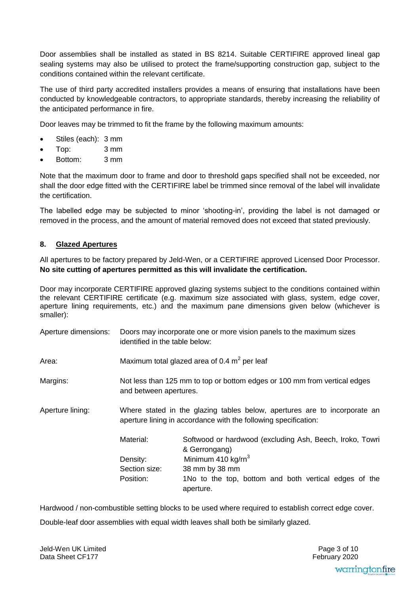Door assemblies shall be installed as stated in BS 8214. Suitable CERTIFIRE approved lineal gap sealing systems may also be utilised to protect the frame/supporting construction gap, subject to the conditions contained within the relevant certificate.

The use of third party accredited installers provides a means of ensuring that installations have been conducted by knowledgeable contractors, to appropriate standards, thereby increasing the reliability of the anticipated performance in fire.

Door leaves may be trimmed to fit the frame by the following maximum amounts:

- Stiles (each): 3 mm
- Top: 3 mm
- Bottom: 3 mm

Note that the maximum door to frame and door to threshold gaps specified shall not be exceeded, nor shall the door edge fitted with the CERTIFIRE label be trimmed since removal of the label will invalidate the certification.

The labelled edge may be subjected to minor 'shooting-in', providing the label is not damaged or removed in the process, and the amount of material removed does not exceed that stated previously.

# **8. Glazed Apertures**

All apertures to be factory prepared by Jeld-Wen, or a CERTIFIRE approved Licensed Door Processor. **No site cutting of apertures permitted as this will invalidate the certification.** 

Door may incorporate CERTIFIRE approved glazing systems subject to the conditions contained within the relevant CERTIFIRE certificate (e.g. maximum size associated with glass, system, edge cover, aperture lining requirements, etc.) and the maximum pane dimensions given below (whichever is smaller):

| Aperture dimensions: | identified in the table below:                                                                                                               | Doors may incorporate one or more vision panels to the maximum sizes                                                                                                                                |  |  |
|----------------------|----------------------------------------------------------------------------------------------------------------------------------------------|-----------------------------------------------------------------------------------------------------------------------------------------------------------------------------------------------------|--|--|
| Area:                | Maximum total glazed area of 0.4 $m2$ per leaf                                                                                               |                                                                                                                                                                                                     |  |  |
| Margins:             | Not less than 125 mm to top or bottom edges or 100 mm from vertical edges<br>and between apertures.                                          |                                                                                                                                                                                                     |  |  |
| Aperture lining:     | Where stated in the glazing tables below, apertures are to incorporate an<br>aperture lining in accordance with the following specification: |                                                                                                                                                                                                     |  |  |
|                      | Material:<br>Density:<br>Section size:<br>Position:                                                                                          | Softwood or hardwood (excluding Ash, Beech, Iroko, Towri<br>& Gerrongang)<br>Minimum 410 kg/rn <sup>3</sup><br>38 mm by 38 mm<br>1No to the top, bottom and both vertical edges of the<br>aperture. |  |  |

Hardwood / non-combustible setting blocks to be used where required to establish correct edge cover. Double-leaf door assemblies with equal width leaves shall both be similarly glazed.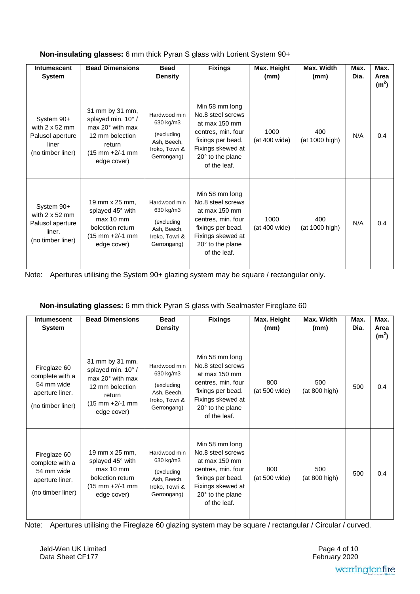| Intumescent<br>System                                                                  | <b>Bead Dimensions</b>                                                                                                                         | <b>Bead</b><br><b>Density</b>                                                           | <b>Fixings</b>                                                                                                                                                  | Max. Height<br>(mm)   | Max. Width<br>(mm)    | Max.<br>Dia. | Max.<br>Area<br>(m <sup>2</sup> ) |
|----------------------------------------------------------------------------------------|------------------------------------------------------------------------------------------------------------------------------------------------|-----------------------------------------------------------------------------------------|-----------------------------------------------------------------------------------------------------------------------------------------------------------------|-----------------------|-----------------------|--------------|-----------------------------------|
| System 90+<br>with $2 \times 52$ mm<br>Palusol aperture<br>liner<br>(no timber liner)  | 31 mm by 31 mm,<br>splayed min. 10° /<br>$max 20°$ with max<br>12 mm bolection<br>return<br>$(15 \text{ mm} + 2/-1 \text{ mm})$<br>edge cover) | Hardwood min<br>630 kg/m3<br>(excluding<br>Ash, Beech,<br>Iroko, Towri &<br>Gerrongang) | Min 58 mm long<br>No.8 steel screws<br>at max 150 mm<br>centres, min. four<br>fixings per bead.<br>Fixings skewed at<br>$20^\circ$ to the plane<br>of the leaf. | 1000<br>(at 400 wide) | 400<br>(at 1000 high) | N/A          | 0.4                               |
| System 90+<br>with $2 \times 52$ mm<br>Palusol aperture<br>liner.<br>(no timber liner) | 19 mm x 25 mm,<br>splayed 45° with<br>max 10 mm<br>bolection return<br>$(15 \text{ mm} + 2/-1 \text{ mm})$<br>edge cover)                      | Hardwood min<br>630 kg/m3<br>(excluding<br>Ash, Beech,<br>Iroko, Towri &<br>Gerrongang) | Min 58 mm long<br>No.8 steel screws<br>at max 150 mm<br>centres, min. four<br>fixings per bead.<br>Fixings skewed at<br>$20^\circ$ to the plane<br>of the leaf. | 1000<br>(at 400 wide) | 400<br>(at 1000 high) | N/A          | 0.4                               |

Note: Apertures utilising the System 90+ glazing system may be square / rectangular only.

# **Non-insulating glasses:** 6 mm thick Pyran S glass with Sealmaster Fireglaze 60

| <b>Intumescent</b><br>System                                                          | <b>Bead Dimensions</b>                                                                                                        | <b>Bead</b><br><b>Density</b>                                                           | <b>Fixings</b>                                                                                                                                           | Max. Height<br>(mm)  | Max. Width<br>(mm)   | Max.<br>Dia. | Max.<br>Area<br>(m <sup>2</sup> ) |
|---------------------------------------------------------------------------------------|-------------------------------------------------------------------------------------------------------------------------------|-----------------------------------------------------------------------------------------|----------------------------------------------------------------------------------------------------------------------------------------------------------|----------------------|----------------------|--------------|-----------------------------------|
| Fireglaze 60<br>complete with a<br>54 mm wide<br>aperture liner.<br>(no timber liner) | 31 mm by 31 mm,<br>splayed min. 10° /<br>$max 20°$ with max<br>12 mm bolection<br>return<br>(15 mm +2/-1 mm<br>edge cover)    | Hardwood min<br>630 kg/m3<br>(excluding<br>Ash, Beech,<br>Iroko, Towri &<br>Gerrongang) | Min 58 mm long<br>No.8 steel screws<br>at max 150 mm<br>centres, min. four<br>fixings per bead.<br>Fixings skewed at<br>20° to the plane<br>of the leaf. | 800<br>(at 500 wide) | 500<br>(at 800 high) | 500          | 0.4                               |
| Fireglaze 60<br>complete with a<br>54 mm wide<br>aperture liner.<br>(no timber liner) | 19 mm x 25 mm,<br>splayed 45° with<br>$max 10$ mm<br>bolection return<br>$(15 \text{ mm} + 2/ - 1 \text{ mm})$<br>edge cover) | Hardwood min<br>630 kg/m3<br>(excluding<br>Ash, Beech,<br>Iroko, Towri &<br>Gerrongang) | Min 58 mm long<br>No.8 steel screws<br>at max 150 mm<br>centres, min. four<br>fixings per bead.<br>Fixings skewed at<br>20° to the plane<br>of the leaf. | 800<br>(at 500 wide) | 500<br>(at 800 high) | 500          | 0.4                               |

Note: Apertures utilising the Fireglaze 60 glazing system may be square / rectangular / Circular / curved.

Jeld-Wen UK Limited Data Sheet CF177

 February 2020 Page 4 of 10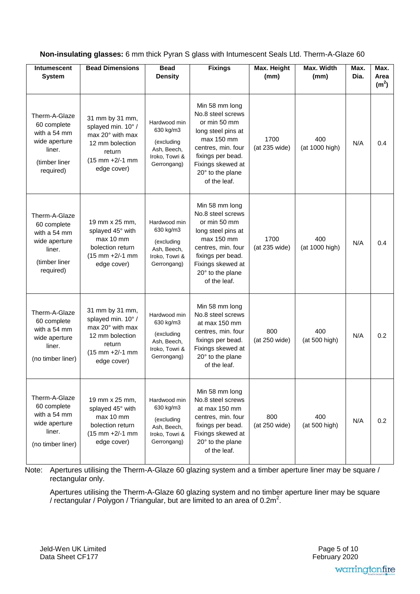| Non-insulating glasses: 6 mm thick Pyran S glass with Intumescent Seals Ltd. Therm-A-Glaze 60 |  |  |
|-----------------------------------------------------------------------------------------------|--|--|
|-----------------------------------------------------------------------------------------------|--|--|

| <b>Intumescent</b><br><b>System</b>                                                                   | <b>Bead Dimensions</b>                                                                                                       | <b>Bead</b><br><b>Density</b>                                                           | <b>Fixings</b>                                                                                                                                                                              | Max. Height<br>(mm)   | Max. Width<br>(mm)    | Max.<br>Dia. | Max.<br>Area<br>(m <sup>2</sup> ) |
|-------------------------------------------------------------------------------------------------------|------------------------------------------------------------------------------------------------------------------------------|-----------------------------------------------------------------------------------------|---------------------------------------------------------------------------------------------------------------------------------------------------------------------------------------------|-----------------------|-----------------------|--------------|-----------------------------------|
| Therm-A-Glaze<br>60 complete<br>with a 54 mm<br>wide aperture<br>liner.<br>(timber liner<br>required) | 31 mm by 31 mm,<br>splayed min. 10° /<br>max 20° with max<br>12 mm bolection<br>return<br>$(15$ mm $+2/-1$ mm<br>edge cover) | Hardwood min<br>630 kg/m3<br>(excluding<br>Ash, Beech,<br>Iroko, Towri &<br>Gerrongang) | Min 58 mm long<br>No.8 steel screws<br>or min 50 mm<br>long steel pins at<br>max 150 mm<br>centres, min. four<br>fixings per bead.<br>Fixings skewed at<br>20° to the plane<br>of the leaf. | 1700<br>(at 235 wide) | 400<br>(at 1000 high) | N/A          | 0.4                               |
| Therm-A-Glaze<br>60 complete<br>with a 54 mm<br>wide aperture<br>liner.<br>(timber liner<br>required) | 19 mm x 25 mm,<br>splayed 45° with<br>max 10 mm<br>bolection return<br>$(15 \text{ mm} + 2/-1 \text{ mm})$<br>edge cover)    | Hardwood min<br>630 kg/m3<br>(excluding<br>Ash, Beech,<br>Iroko, Towri &<br>Gerrongang) | Min 58 mm long<br>No.8 steel screws<br>or min 50 mm<br>long steel pins at<br>max 150 mm<br>centres, min. four<br>fixings per bead.<br>Fixings skewed at<br>20° to the plane<br>of the leaf. | 1700<br>(at 235 wide) | 400<br>(at 1000 high) | N/A          | 0.4                               |
| Therm-A-Glaze<br>60 complete<br>with a 54 mm<br>wide aperture<br>liner.<br>(no timber liner)          | 31 mm by 31 mm,<br>splayed min. 10° /<br>max 20° with max<br>12 mm bolection<br>return<br>$(15$ mm $+2/-1$ mm<br>edge cover) | Hardwood min<br>630 kg/m3<br>(excluding<br>Ash, Beech,<br>Iroko, Towri &<br>Gerrongang) | Min 58 mm long<br>No.8 steel screws<br>at max 150 mm<br>centres, min. four<br>fixings per bead.<br>Fixings skewed at<br>20° to the plane<br>of the leaf.                                    | 800<br>(at 250 wide)  | 400<br>(at 500 high)  | N/A          | 0.2                               |
| Therm-A-Glaze<br>60 complete<br>with a 54 mm<br>wide aperture<br>liner.<br>(no timber liner)          | 19 mm x 25 mm,<br>splayed 45° with<br>max 10 mm<br>bolection return<br>$(15$ mm $+2/-1$ mm<br>edge cover)                    | Hardwood min<br>630 kg/m3<br>(excluding<br>Ash, Beech,<br>Iroko, Towri &<br>Gerrongang) | Min 58 mm long<br>No.8 steel screws<br>at max 150 mm<br>centres, min. four<br>fixings per bead.<br>Fixings skewed at<br>20° to the plane<br>of the leaf.                                    | 800<br>(at 250 wide)  | 400<br>(at 500 high)  | N/A          | 0.2                               |

Note: Apertures utilising the Therm-A-Glaze 60 glazing system and a timber aperture liner may be square / rectangular only.

 Apertures utilising the Therm-A-Glaze 60 glazing system and no timber aperture liner may be square / rectangular / Polygon / Triangular, but are limited to an area of  $0.2m^2$ .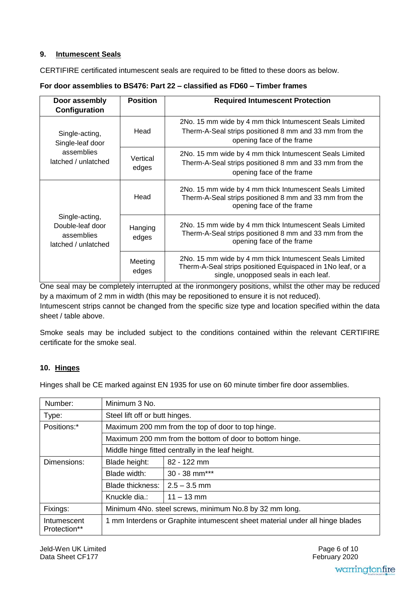# **9. Intumescent Seals**

CERTIFIRE certificated intumescent seals are required to be fitted to these doors as below.

| Door assembly                                                           | <b>Position</b>   | <b>Required Intumescent Protection</b>                                                                                                                          |  |
|-------------------------------------------------------------------------|-------------------|-----------------------------------------------------------------------------------------------------------------------------------------------------------------|--|
| Configuration                                                           |                   |                                                                                                                                                                 |  |
| Single-acting,<br>Single-leaf door                                      | Head              | 2No. 15 mm wide by 4 mm thick Intumescent Seals Limited<br>Therm-A-Seal strips positioned 8 mm and 33 mm from the<br>opening face of the frame                  |  |
| assemblies<br>latched / unlatched                                       | Vertical<br>edges | 2No. 15 mm wide by 4 mm thick Intumescent Seals Limited<br>Therm-A-Seal strips positioned 8 mm and 33 mm from the<br>opening face of the frame                  |  |
|                                                                         | Head              | 2No. 15 mm wide by 4 mm thick Intumescent Seals Limited<br>Therm-A-Seal strips positioned 8 mm and 33 mm from the<br>opening face of the frame                  |  |
| Single-acting,<br>Double-leaf door<br>assemblies<br>latched / unlatched | Hanging<br>edges  | 2No. 15 mm wide by 4 mm thick Intumescent Seals Limited<br>Therm-A-Seal strips positioned 8 mm and 33 mm from the<br>opening face of the frame                  |  |
|                                                                         | Meeting<br>edges  | 2No. 15 mm wide by 4 mm thick Intumescent Seals Limited<br>Therm-A-Seal strips positioned Equispaced in 1No leaf, or a<br>single, unopposed seals in each leaf. |  |

**For door assemblies to BS476: Part 22 – classified as FD60 – Timber frames** 

One seal may be completely interrupted at the ironmongery positions, whilst the other may be reduced by a maximum of 2 mm in width (this may be repositioned to ensure it is not reduced). Intumescent strips cannot be changed from the specific size type and location specified within the data

Smoke seals may be included subject to the conditions contained within the relevant CERTIFIRE certificate for the smoke seal.

# **10. Hinges**

sheet / table above.

Hinges shall be CE marked against EN 1935 for use on 60 minute timber fire door assemblies.

| Number:                     | Minimum 3 No.                                                                |                                                         |  |  |  |
|-----------------------------|------------------------------------------------------------------------------|---------------------------------------------------------|--|--|--|
| Type:                       |                                                                              | Steel lift off or butt hinges.                          |  |  |  |
| Positions:*                 |                                                                              | Maximum 200 mm from the top of door to top hinge.       |  |  |  |
|                             |                                                                              | Maximum 200 mm from the bottom of door to bottom hinge. |  |  |  |
|                             |                                                                              | Middle hinge fitted centrally in the leaf height.       |  |  |  |
| Dimensions:                 | Blade height:                                                                | 82 - 122 mm                                             |  |  |  |
|                             | Blade width:                                                                 | $30 - 38$ mm***                                         |  |  |  |
|                             | Blade thickness:                                                             | $2.5 - 3.5$ mm                                          |  |  |  |
|                             | Knuckle dia.:                                                                | $11 - 13$ mm                                            |  |  |  |
| Fixings:                    | Minimum 4No. steel screws, minimum No.8 by 32 mm long.                       |                                                         |  |  |  |
| Intumescent<br>Protection** | 1 mm Interdens or Graphite intumescent sheet material under all hinge blades |                                                         |  |  |  |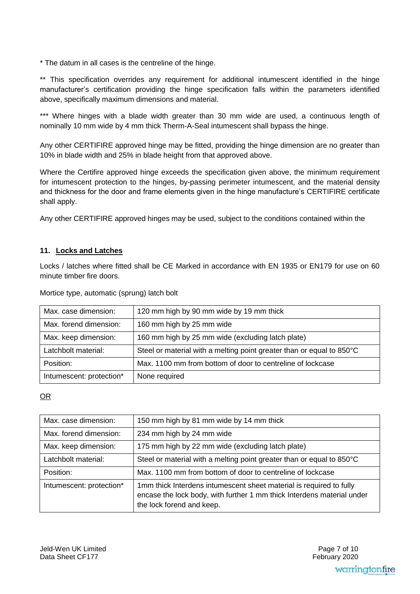\* The datum in all cases is the centreline of the hinge.

\*\* This specification overrides any requirement for additional intumescent identified in the hinge manufacturer's certification providing the hinge specification falls within the parameters identified above, specifically maximum dimensions and material.

\*\*\* Where hinges with a blade width greater than 30 mm wide are used, a continuous length of nominally 10 mm wide by 4 mm thick Therm-A-Seal intumescent shall bypass the hinge.

Any other CERTIFIRE approved hinge may be fitted, providing the hinge dimension are no greater than 10% in blade width and 25% in blade height from that approved above.

Where the Certifire approved hinge exceeds the specification given above, the minimum requirement for intumescent protection to the hinges, by-passing perimeter intumescent, and the material density and thickness for the door and frame elements given in the hinge manufacture's CERTIFIRE certificate shall apply.

Any other CERTIFIRE approved hinges may be used, subject to the conditions contained within the

# **11. Locks and Latches**

Locks / latches where fitted shall be CE Marked in accordance with EN 1935 or EN179 for use on 60 minute timber fire doors.

| Max. case dimension:     | 120 mm high by 90 mm wide by 19 mm thick                              |
|--------------------------|-----------------------------------------------------------------------|
| Max. forend dimension:   | 160 mm high by 25 mm wide                                             |
| Max. keep dimension:     | 160 mm high by 25 mm wide (excluding latch plate)                     |
| Latchbolt material:      | Steel or material with a melting point greater than or equal to 850°C |
| Position:                | Max. 1100 mm from bottom of door to centreline of lockcase            |
| Intumescent: protection* | None required                                                         |

Mortice type, automatic (sprung) latch bolt

# OR

| Max. case dimension:     | 150 mm high by 81 mm wide by 14 mm thick                                                                                                                                   |
|--------------------------|----------------------------------------------------------------------------------------------------------------------------------------------------------------------------|
| Max. forend dimension:   | 234 mm high by 24 mm wide                                                                                                                                                  |
| Max. keep dimension:     | 175 mm high by 22 mm wide (excluding latch plate)                                                                                                                          |
| Latchbolt material:      | Steel or material with a melting point greater than or equal to 850°C                                                                                                      |
| Position:                | Max. 1100 mm from bottom of door to centreline of lockcase                                                                                                                 |
| Intumescent: protection* | 1mm thick Interdens intumescent sheet material is required to fully<br>encase the lock body, with further 1 mm thick Interdens material under<br>the lock forend and keep. |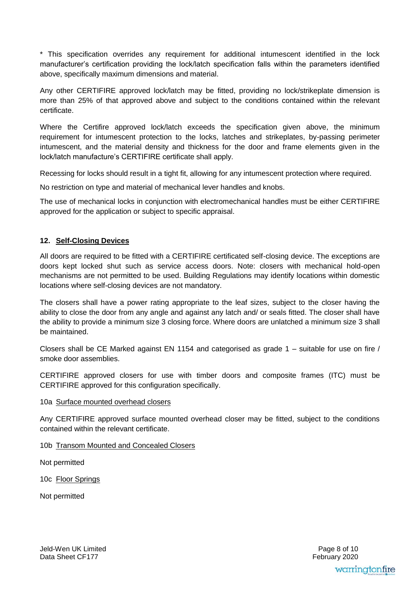\* This specification overrides any requirement for additional intumescent identified in the lock manufacturer's certification providing the lock/latch specification falls within the parameters identified above, specifically maximum dimensions and material.

Any other CERTIFIRE approved lock/latch may be fitted, providing no lock/strikeplate dimension is more than 25% of that approved above and subject to the conditions contained within the relevant certificate.

Where the Certifire approved lock/latch exceeds the specification given above, the minimum requirement for intumescent protection to the locks, latches and strikeplates, by-passing perimeter intumescent, and the material density and thickness for the door and frame elements given in the lock/latch manufacture's CERTIFIRE certificate shall apply.

Recessing for locks should result in a tight fit, allowing for any intumescent protection where required.

No restriction on type and material of mechanical lever handles and knobs.

The use of mechanical locks in conjunction with electromechanical handles must be either CERTIFIRE approved for the application or subject to specific appraisal.

# **12. Self-Closing Devices**

All doors are required to be fitted with a CERTIFIRE certificated self-closing device. The exceptions are doors kept locked shut such as service access doors. Note: closers with mechanical hold-open mechanisms are not permitted to be used. Building Regulations may identify locations within domestic locations where self-closing devices are not mandatory.

The closers shall have a power rating appropriate to the leaf sizes, subject to the closer having the ability to close the door from any angle and against any latch and/ or seals fitted. The closer shall have the ability to provide a minimum size 3 closing force. Where doors are unlatched a minimum size 3 shall be maintained.

Closers shall be CE Marked against EN 1154 and categorised as grade 1 – suitable for use on fire / smoke door assemblies.

CERTIFIRE approved closers for use with timber doors and composite frames (ITC) must be CERTIFIRE approved for this configuration specifically.

#### 10a Surface mounted overhead closers

Any CERTIFIRE approved surface mounted overhead closer may be fitted, subject to the conditions contained within the relevant certificate.

10b Transom Mounted and Concealed Closers

Not permitted

10c Floor Springs

Not permitted

Jeld-Wen UK Limited Data Sheet CF177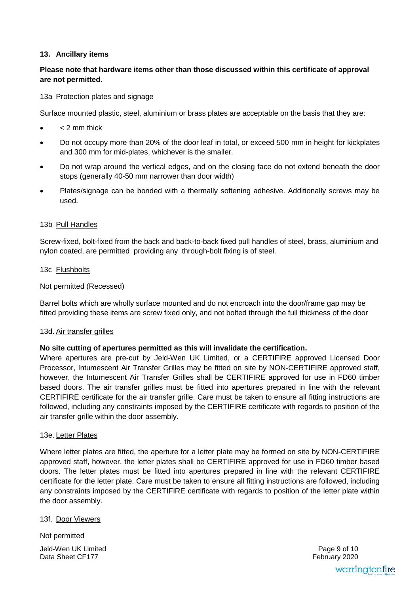## **13. Ancillary items**

# **Please note that hardware items other than those discussed within this certificate of approval are not permitted.**

#### 13a Protection plates and signage

Surface mounted plastic, steel, aluminium or brass plates are acceptable on the basis that they are:

- < 2 mm thick
- Do not occupy more than 20% of the door leaf in total, or exceed 500 mm in height for kickplates and 300 mm for mid-plates, whichever is the smaller.
- Do not wrap around the vertical edges, and on the closing face do not extend beneath the door stops (generally 40-50 mm narrower than door width)
- Plates/signage can be bonded with a thermally softening adhesive. Additionally screws may be used.

### 13b Pull Handles

Screw-fixed, bolt-fixed from the back and back-to-back fixed pull handles of steel, brass, aluminium and nylon coated, are permitted providing any through-bolt fixing is of steel.

#### 13c Flushbolts

### Not permitted (Recessed)

Barrel bolts which are wholly surface mounted and do not encroach into the door/frame gap may be fitted providing these items are screw fixed only, and not bolted through the full thickness of the door

#### 13d. Air transfer grilles

# **No site cutting of apertures permitted as this will invalidate the certification.**

Where apertures are pre-cut by Jeld-Wen UK Limited, or a CERTIFIRE approved Licensed Door Processor, Intumescent Air Transfer Grilles may be fitted on site by NON-CERTIFIRE approved staff, however, the Intumescent Air Transfer Grilles shall be CERTIFIRE approved for use in FD60 timber based doors. The air transfer grilles must be fitted into apertures prepared in line with the relevant CERTIFIRE certificate for the air transfer grille. Care must be taken to ensure all fitting instructions are followed, including any constraints imposed by the CERTIFIRE certificate with regards to position of the air transfer grille within the door assembly.

#### 13e. Letter Plates

Where letter plates are fitted, the aperture for a letter plate may be formed on site by NON-CERTIFIRE approved staff, however, the letter plates shall be CERTIFIRE approved for use in FD60 timber based doors. The letter plates must be fitted into apertures prepared in line with the relevant CERTIFIRE certificate for the letter plate. Care must be taken to ensure all fitting instructions are followed, including any constraints imposed by the CERTIFIRE certificate with regards to position of the letter plate within the door assembly.

#### 13f. Door Viewers

Jeld-Wen UK Limited Data Sheet CF177 Not permitted

 February 2020 Page 9 of 10